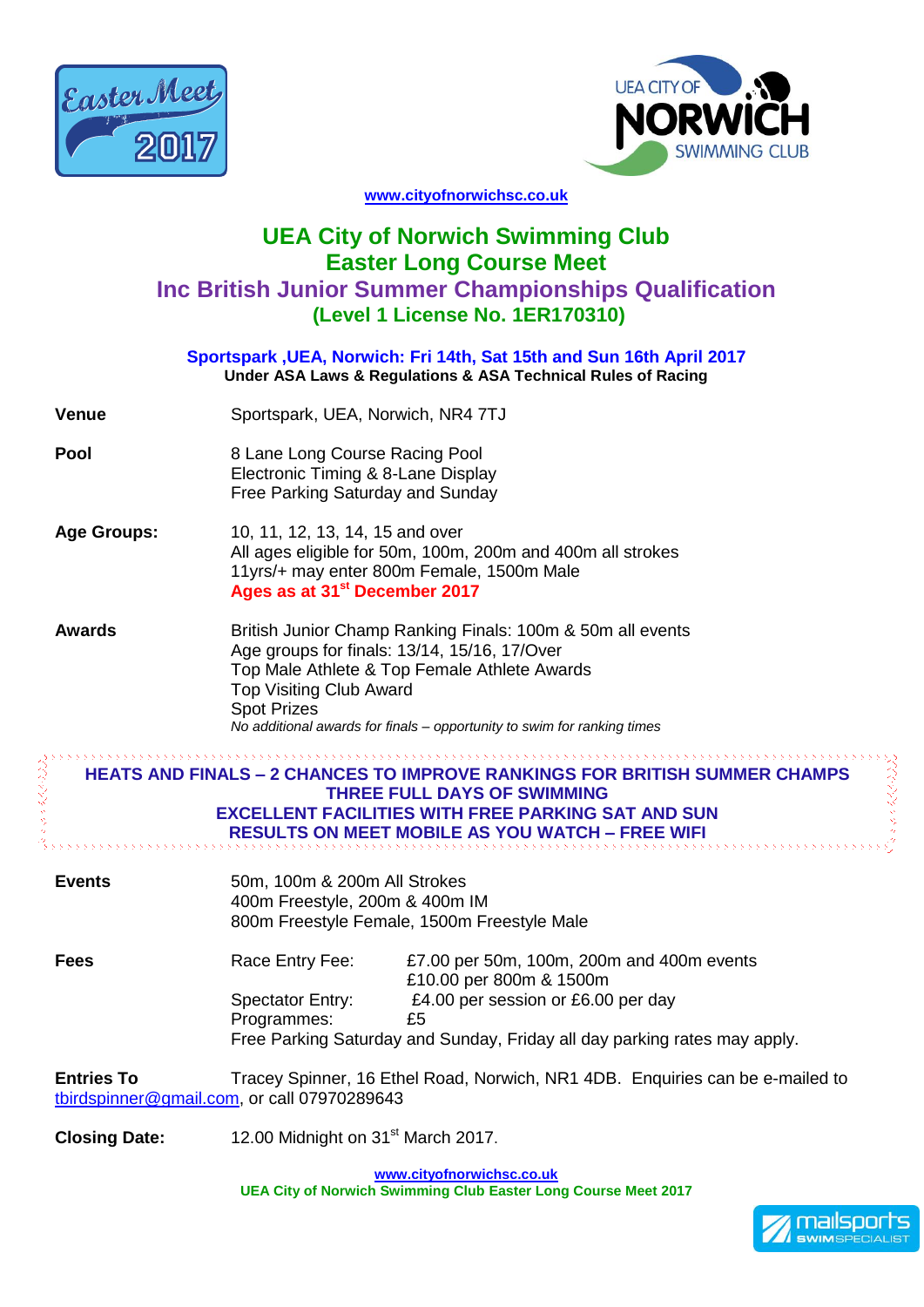



**[www.cityofnorwichsc.co.uk](http://www.cityofnorwichsc.co.uk/)**

# **UEA City of Norwich Swimming Club Easter Long Course Meet Inc British Junior Summer Championships Qualification (Level 1 License No. 1ER170310)**

#### **Sportspark ,UEA, Norwich: Fri 14th, Sat 15th and Sun 16th April 2017 Under ASA Laws & Regulations & ASA Technical Rules of Racing**

- **Venue Sportspark, UEA, Norwich, NR4 7TJ**
- **Pool** 8 Lane Long Course Racing Pool Electronic Timing & 8-Lane Display Free Parking Saturday and Sunday
- **Age Groups:** 10, 11, 12, 13, 14, 15 and over All ages eligible for 50m, 100m, 200m and 400m all strokes 11yrs/+ may enter 800m Female, 1500m Male **Ages as at 31st December 2017**
- **Awards** British Junior Champ Ranking Finals: 100m & 50m all events Age groups for finals: 13/14, 15/16, 17/Over Top Male Athlete & Top Female Athlete Awards Top Visiting Club Award Spot Prizes *No additional awards for finals – opportunity to swim for ranking times*

### **HEATS AND FINALS – 2 CHANCES TO IMPROVE RANKINGS FOR BRITISH SUMMER CHAMPS THREE FULL DAYS OF SWIMMING EXCELLENT FACILITIES WITH FREE PARKING SAT AND SUN RESULTS ON MEET MOBILE AS YOU WATCH – FREE WIFI**

| <b>Events</b>     | 50m, 100m & 200m All Strokes<br>400m Freestyle, 200m & 400m IM<br>800m Freestyle Female, 1500m Freestyle Male |                                                                                                                                                                                               |  |
|-------------------|---------------------------------------------------------------------------------------------------------------|-----------------------------------------------------------------------------------------------------------------------------------------------------------------------------------------------|--|
| <b>Fees</b>       | Race Entry Fee:<br><b>Spectator Entry:</b><br>Programmes:                                                     | £7.00 per 50m, 100m, 200m and 400m events<br>£10.00 per 800m & 1500m<br>£4.00 per session or £6.00 per day<br>£5<br>Free Parking Saturday and Sunday, Friday all day parking rates may apply. |  |
| <b>Entries To</b> | tbirdspinner@gmail.com, or call 07970289643                                                                   | Tracey Spinner, 16 Ethel Road, Norwich, NR1 4DB. Enquiries can be e-mailed to                                                                                                                 |  |

**Closing Date:** 12.00 Midnight on 31<sup>st</sup> March 2017.

**[www.cityofnorwichsc.co.uk](http://www.cityofnorwichsc.co.uk/) UEA City of Norwich Swimming Club Easter Long Course Meet 2017**

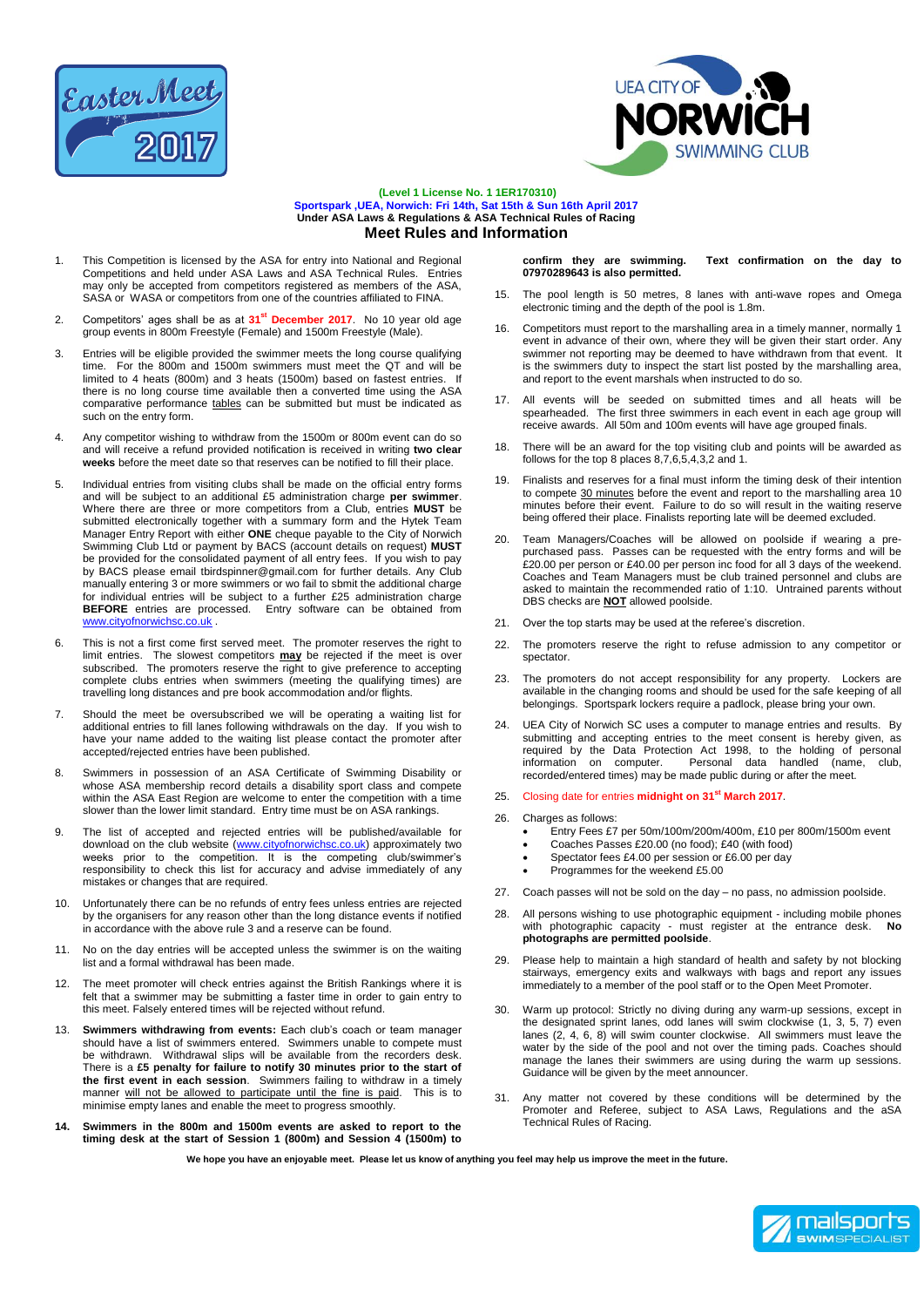



#### **(Level 1 License No. 1 1ER170310) Sportspark ,UEA, Norwich: Fri 14th, Sat 15th & Sun 16th April 2017 Under ASA Laws & Regulations & ASA Technical Rules of Racing Meet Rules and Information**

- 1. This Competition is licensed by the ASA for entry into National and Regional Competitions and held under ASA Laws and ASA Technical Rules. Entries may only be accepted from competitors registered as members of the ASA, SASA or WASA or competitors from one of the countries affiliated to FINA.
- 2. Competitors' ages shall be as at **31st December 2017**. No 10 year old age group events in 800m Freestyle (Female) and 1500m Freestyle (Male).
- 3. Entries will be eligible provided the swimmer meets the long course qualifying time. For the 800m and 1500m swimmers must meet the QT and will be limited to 4 heats (800m) and 3 heats (1500m) based on fastest entries. If there is no long course time available then a converted time using the ASA comparative performance tables can be submitted but must be indicated as such on the entry form.
- 4. Any competitor wishing to withdraw from the 1500m or 800m event can do so and will receive a refund provided notification is received in writing **two clear weeks** before the meet date so that reserves can be notified to fill their place.
- 5. Individual entries from visiting clubs shall be made on the official entry forms and will be subject to an additional £5 administration charge **per swimmer**. Where there are three or more competitors from a Club, entries **MUST** be submitted electronically together with a summary form and the Hytek Team Manager Entry Report with either **ONE** cheque payable to the City of Norwich Swimming Club Ltd or payment by BACS (account details on request) **MUST** be provided for the consolidated payment of all entry fees. If you wish to pay by BACS please email tbirdspinner@gmail.com for further details. Any Club manually entering 3 or more swimmers or wo fail to sbmit the additional charge for individual entries will be subject to a further £25 administration charge **BEFORE** entries are processed. Entry software can be obtained from www.cityofnorwichsc.co
- 6. This is not a first come first served meet. The promoter reserves the right to limit entries. The slowest competitors **may** be rejected if the meet is over subscribed. The promoters reserve the right to give preference to accepting complete clubs entries when swimmers (meeting the qualifying times) are travelling long distances and pre book accommodation and/or flights.
- 7. Should the meet be oversubscribed we will be operating a waiting list for additional entries to fill lanes following withdrawals on the day. If you wish to have your name added to the waiting list please contact the promoter after accepted/rejected entries have been published.
- 8. Swimmers in possession of an ASA Certificate of Swimming Disability or whose ASA membership record details a disability sport class and compete within the ASA East Region are welcome to enter the competition with a time slower than the lower limit standard. Entry time must be on ASA rankings.
- The list of accepted and rejected entries will be published/available for download on the club website [\(www.cityofnorwichsc.co.uk\)](http://www.cityofnorwichsc.co.uk/) approximately two weeks prior to the competition. It is the competing club/swimmer's responsibility to check this list for accuracy and advise immediately of any mistakes or changes that are required.
- 10. Unfortunately there can be no refunds of entry fees unless entries are rejected by the organisers for any reason other than the long distance events if notified in accordance with the above rule 3 and a reserve can be found.
- 11. No on the day entries will be accepted unless the swimmer is on the waiting list and a formal withdrawal has been made.
- 12. The meet promoter will check entries against the British Rankings where it is felt that a swimmer may be submitting a faster time in order to gain entry to this meet. Falsely entered times will be rejected without refund.
- 13. **Swimmers withdrawing from events:** Each club's coach or team manager should have a list of swimmers entered. Swimmers unable to compete must be withdrawn. Withdrawal slips will be available from the recorders desk. There is a **£5 penalty for failure to notify 30 minutes prior to the start of the first event in each session**. Swimmers failing to withdraw in a timely manner will not be allowed to participate until the fine is paid. This is to minimise empty lanes and enable the meet to progress smoothly.
- **14. Swimmers in the 800m and 1500m events are asked to report to the timing desk at the start of Session 1 (800m) and Session 4 (1500m) to**

**confirm they are swimming. Text confirmation on the day to 07970289643 is also permitted.**

- 15. The pool length is 50 metres, 8 lanes with anti-wave ropes and Omega electronic timing and the depth of the pool is 1.8m.
- 16. Competitors must report to the marshalling area in a timely manner, normally 1 event in advance of their own, where they will be given their start order. Any swimmer not reporting may be deemed to have withdrawn from that event. It is the swimmers duty to inspect the start list posted by the marshalling area, and report to the event marshals when instructed to do so.
- All events will be seeded on submitted times and all heats will be spearheaded. The first three swimmers in each event in each age group will receive awards. All 50m and 100m events will have age grouped finals.
- 18. There will be an award for the top visiting club and points will be awarded as follows for the top 8 places 8,7,6,5,4,3,2 and 1.
- 19. Finalists and reserves for a final must inform the timing desk of their intention to compete 30 minutes before the event and report to the marshalling area 10 minutes before their event. Failure to do so will result in the waiting reserve being offered their place. Finalists reporting late will be deemed excluded.
- Team Managers/Coaches will be allowed on poolside if wearing a prepurchased pass. Passes can be requested with the entry forms and will be £20.00 per person or £40.00 per person inc food for all 3 days of the weekend. Coaches and Team Managers must be club trained personnel and clubs are asked to maintain the recommended ratio of 1:10. Untrained parents without DBS checks are **NOT** allowed poolside.
- 21. Over the top starts may be used at the referee's discretion.
- 22. The promoters reserve the right to refuse admission to any competitor or spectator.
- 23. The promoters do not accept responsibility for any property. Lockers are available in the changing rooms and should be used for the safe keeping of all belongings. Sportspark lockers require a padlock, please bring your own.
- 24. UEA City of Norwich SC uses a computer to manage entries and results. By submitting and accepting entries to the meet consent is hereby given, as required by the Data Protection Act 1998, to the holding of personal information on computer. Personal data handled (name, club, recorded/entered times) may be made public during or after the meet.
- 25. Closing date for entries **midnight on 31st March 2017**.
- 26. Charges as follows:
	- Entry Fees £7 per 50m/100m/200m/400m, £10 per 800m/1500m event
	- Coaches Passes £20.00 (no food); £40 (with food)
	- Spectator fees £4.00 per session or £6.00 per day
	- Programmes for the weekend £5.00
- 27. Coach passes will not be sold on the day no pass, no admission poolside.
- 28. All persons wishing to use photographic equipment including mobile phones<br>with photographic capacity must register at the entrance desk. No with photographic capacity - must register at the entrance desk. **photographs are permitted poolside**.
- 29. Please help to maintain a high standard of health and safety by not blocking stairways, emergency exits and walkways with bags and report any issues immediately to a member of the pool staff or to the Open Meet Promoter.
- 30. Warm up protocol: Strictly no diving during any warm-up sessions, except in the designated sprint lanes, odd lanes will swim clockwise (1, 3, 5, 7) even lanes (2, 4, 6, 8) will swim counter clockwise. All swimmers must leave the water by the side of the pool and not over the timing pads. Coaches should manage the lanes their swimmers are using during the warm up sessions. Guidance will be given by the meet announcer.
- Any matter not covered by these conditions will be determined by the Promoter and Referee, subject to ASA Laws, Regulations and the aSA Technical Rules of Racing.

**We hope you have an enjoyable meet. Please let us know of anything you feel may help us improve the meet in the future.**

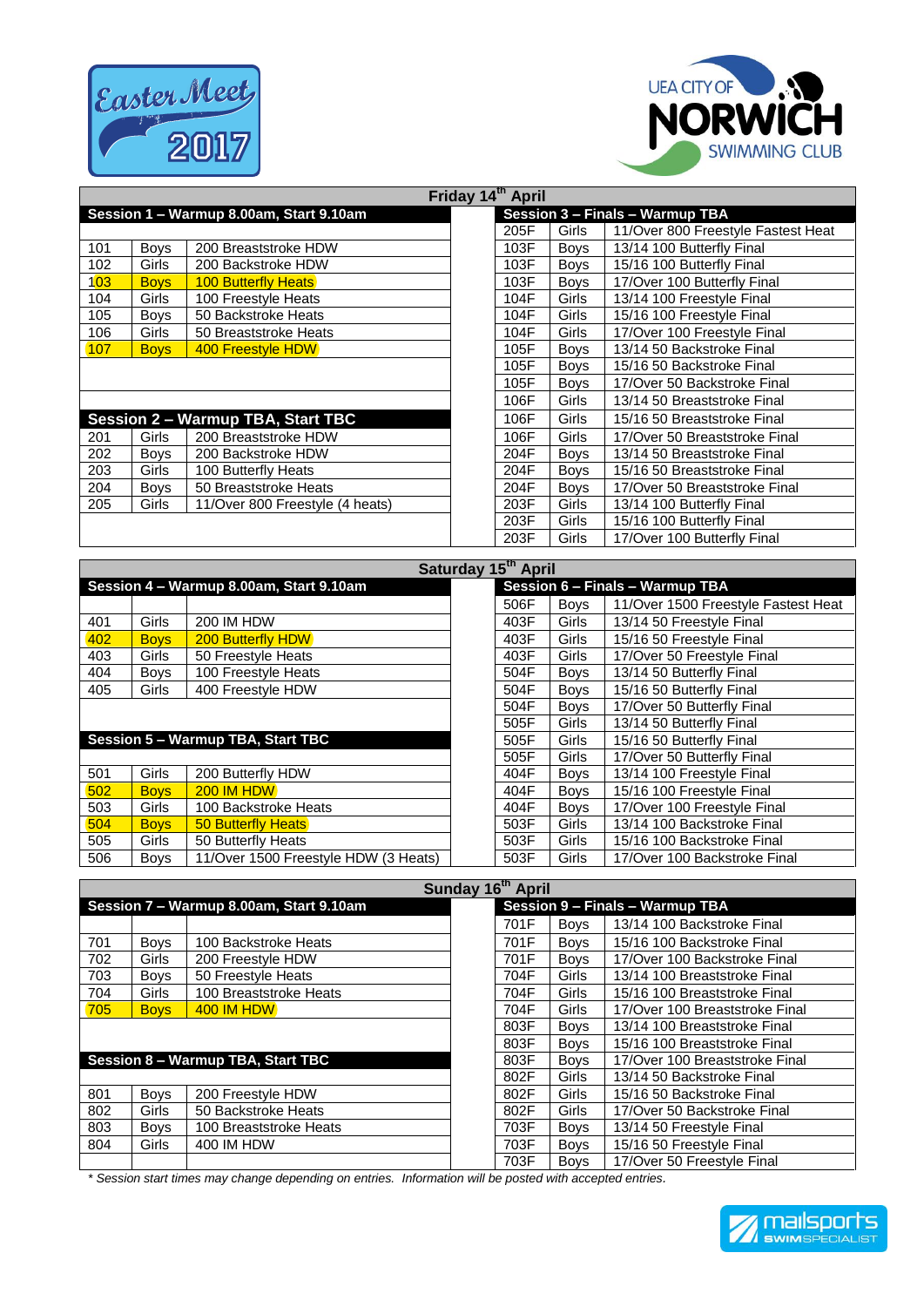



|     |             |                                         | $110a$ y $14$ | <b>AVIII</b> |             |                                 |
|-----|-------------|-----------------------------------------|---------------|--------------|-------------|---------------------------------|
|     |             | Session 1 - Warmup 8.00am, Start 9.10am |               |              |             | Session 3 - Finals - Warmup TBA |
|     |             |                                         |               | 205F         | Girls       | 11/Over 800 Freestyle Fastes    |
| 101 | Boys        | 200 Breaststroke HDW                    |               | 103F         | <b>Boys</b> | 13/14 100 Butterfly Final       |
| 102 | Girls       | 200 Backstroke HDW                      |               | 103F         | <b>Boys</b> | 15/16 100 Butterfly Final       |
| 103 | <b>Boys</b> | <b>100 Butterfly Heats</b>              |               | 103F         | <b>Boys</b> | 17/Over 100 Butterfly Final     |
| 104 | Girls       | 100 Freestyle Heats                     |               | 104F         | Girls       | 13/14 100 Freestyle Final       |
| 105 | <b>Boys</b> | 50 Backstroke Heats                     |               | 104F         | Girls       | 15/16 100 Freestyle Final       |
| 106 | Girls       | 50 Breaststroke Heats                   |               | 104F         | Girls       | 17/Over 100 Freestyle Final     |
| 107 | <b>Boys</b> | 400 Freestyle HDW                       |               | 105F         | <b>Boys</b> | 13/14 50 Backstroke Final       |
|     |             |                                         |               | 105F         | <b>Boys</b> | 15/16 50 Backstroke Final       |
|     |             |                                         |               | 105F         | <b>Boys</b> | 17/Over 50 Backstroke Final     |
|     |             |                                         |               | 106F         | Girls       | 13/14 50 Breaststroke Final     |
|     |             | Session 2 - Warmup TBA, Start TBC       |               | 106F         | Girls       | 15/16 50 Breaststroke Final     |
| 201 | Girls       | 200 Breaststroke HDW                    |               | 106F         | Girls       | 17/Over 50 Breaststroke Final   |
| 202 | <b>Boys</b> | 200 Backstroke HDW                      |               | 204F         | <b>Boys</b> | 13/14 50 Breaststroke Final     |
| 203 | Girls       | 100 Butterfly Heats                     |               | 204F         | <b>Boys</b> | 15/16 50 Breaststroke Final     |
| 204 | <b>Boys</b> | 50 Breaststroke Heats                   |               | 204F         | <b>Boys</b> | 17/Over 50 Breaststroke Final   |
| 205 | Girls       | 11/Over 800 Freestyle (4 heats)         |               | 203F         | Girls       | 13/14 100 Butterfly Final       |
|     |             |                                         |               | 203F         | Girls       | 15/16 100 Butterfly Final       |
|     |             |                                         |               | 203F         | Girle       | 17/Over 100 Butterfly Final     |

| Friday 14 <sup>th</sup> April |      |             |                                        |  |  |  |
|-------------------------------|------|-------------|----------------------------------------|--|--|--|
|                               |      |             | <b>Session 3 - Finals - Warmup TBA</b> |  |  |  |
|                               | 205F | Girls       | 11/Over 800 Freestyle Fastest Heat     |  |  |  |
|                               | 103F | <b>Boys</b> | 13/14 100 Butterfly Final              |  |  |  |
|                               | 103F | Boys        | 15/16 100 Butterfly Final              |  |  |  |
|                               | 103F | Boys        | 17/Over 100 Butterfly Final            |  |  |  |
|                               | 104F | Girls       | 13/14 100 Freestyle Final              |  |  |  |
|                               | 104F | Girls       | 15/16 100 Freestyle Final              |  |  |  |
|                               | 104F | Girls       | 17/Over 100 Freestyle Final            |  |  |  |
|                               | 105F | <b>Boys</b> | 13/14 50 Backstroke Final              |  |  |  |
|                               | 105F | <b>Boys</b> | 15/16 50 Backstroke Final              |  |  |  |
|                               | 105F | <b>Boys</b> | 17/Over 50 Backstroke Final            |  |  |  |
|                               | 106F | Girls       | 13/14 50 Breaststroke Final            |  |  |  |
|                               | 106F | Girls       | 15/16 50 Breaststroke Final            |  |  |  |
|                               | 106F | Girls       | 17/Over 50 Breaststroke Final          |  |  |  |
|                               | 204F | <b>Boys</b> | 13/14 50 Breaststroke Final            |  |  |  |
|                               | 204F | <b>Boys</b> | 15/16 50 Breaststroke Final            |  |  |  |
|                               | 204F | <b>Boys</b> | 17/Over 50 Breaststroke Final          |  |  |  |
|                               | 203F | Girls       | 13/14 100 Butterfly Final              |  |  |  |
|                               | 203F | Girls       | 15/16 100 Butterfly Final              |  |  |  |
|                               | 203F | Girls       | 17/Over 100 Butterfly Final            |  |  |  |

|     | Saturday 15 <sup>th</sup> April |                                         |  |      |              |                                     |
|-----|---------------------------------|-----------------------------------------|--|------|--------------|-------------------------------------|
|     |                                 | Session 4 - Warmup 8.00am, Start 9.10am |  |      |              | Session 6 - Finals - Warmup TBA     |
|     |                                 |                                         |  | 506F | <b>Boys</b>  | 11/Over 1500 Freestyle Fastest Heat |
| 401 | Girls                           | <b>200 IM HDW</b>                       |  | 403F | Girls        | 13/14 50 Freestyle Final            |
| 402 | <b>Boys</b>                     | <b>200 Butterfly HDW</b>                |  | 403F | Girls        | 15/16 50 Freestyle Final            |
| 403 | Girls                           | 50 Freestyle Heats                      |  | 403F | <b>Girls</b> | 17/Over 50 Freestyle Final          |
| 404 | <b>Boys</b>                     | 100 Freestyle Heats                     |  | 504F | <b>Boys</b>  | 13/14 50 Butterfly Final            |
| 405 | Girls                           | 400 Freestyle HDW                       |  | 504F | <b>Boys</b>  | 15/16 50 Butterfly Final            |
|     |                                 |                                         |  | 504F | <b>Boys</b>  | 17/Over 50 Butterfly Final          |
|     |                                 |                                         |  | 505F | <b>Girls</b> | 13/14 50 Butterfly Final            |
|     |                                 | Session 5 - Warmup TBA, Start TBC       |  | 505F | Girls        | 15/16 50 Butterfly Final            |
|     |                                 |                                         |  | 505F | Girls        | 17/Over 50 Butterfly Final          |
| 501 | Girls                           | 200 Butterfly HDW                       |  | 404F | <b>Boys</b>  | 13/14 100 Freestyle Final           |
| 502 | <b>Boys</b>                     | <b>200 IM HDW</b>                       |  | 404F | <b>Boys</b>  | 15/16 100 Freestyle Final           |
| 503 | Girls                           | 100 Backstroke Heats                    |  | 404F | <b>Boys</b>  | 17/Over 100 Freestyle Final         |
| 504 | <b>Boys</b>                     | <b>50 Butterfly Heats</b>               |  | 503F | Girls        | 13/14 100 Backstroke Final          |
| 505 | Girls                           | 50 Butterfly Heats                      |  | 503F | Girls        | 15/16 100 Backstroke Final          |
| 506 | <b>Boys</b>                     | 11/Over 1500 Freestyle HDW (3 Heats)    |  | 503F | Girls        | 17/Over 100 Backstroke Final        |

|     | Sunday 16 <sup>th</sup> April |                                         |  |      |             |                                 |  |
|-----|-------------------------------|-----------------------------------------|--|------|-------------|---------------------------------|--|
|     |                               | Session 7 - Warmup 8.00am, Start 9.10am |  |      |             | Session 9 - Finals - Warmup TBA |  |
|     |                               |                                         |  | 701F | <b>Boys</b> | 13/14 100 Backstroke Final      |  |
| 701 | Boys                          | 100 Backstroke Heats                    |  | 701F | <b>Boys</b> | 15/16 100 Backstroke Final      |  |
| 702 | Girls                         | 200 Freestyle HDW                       |  | 701F | <b>Boys</b> | 17/Over 100 Backstroke Final    |  |
| 703 | <b>Boys</b>                   | 50 Freestyle Heats                      |  | 704F | Girls       | 13/14 100 Breaststroke Final    |  |
| 704 | Girls                         | 100 Breaststroke Heats                  |  | 704F | Girls       | 15/16 100 Breaststroke Final    |  |
| 705 | <b>Boys</b>                   | <b>400 IM HDW</b>                       |  | 704F | Girls       | 17/Over 100 Breaststroke Final  |  |
|     |                               |                                         |  | 803F | <b>Boys</b> | 13/14 100 Breaststroke Final    |  |
|     |                               |                                         |  | 803F | <b>Boys</b> | 15/16 100 Breaststroke Final    |  |
|     |                               | Session 8 - Warmup TBA, Start TBC       |  | 803F | <b>Boys</b> | 17/Over 100 Breaststroke Final  |  |
|     |                               |                                         |  | 802F | Girls       | 13/14 50 Backstroke Final       |  |
| 801 | <b>Boys</b>                   | 200 Freestyle HDW                       |  | 802F | Girls       | 15/16 50 Backstroke Final       |  |
| 802 | Girls                         | 50 Backstroke Heats                     |  | 802F | Girls       | 17/Over 50 Backstroke Final     |  |
| 803 | <b>Boys</b>                   | 100 Breaststroke Heats                  |  | 703F | <b>Boys</b> | 13/14 50 Freestyle Final        |  |
| 804 | Girls                         | 400 IM HDW                              |  | 703F | <b>Boys</b> | 15/16 50 Freestyle Final        |  |
|     |                               |                                         |  | 703F | <b>Boys</b> | 17/Over 50 Freestyle Final      |  |

*\* Session start times may change depending on entries. Information will be posted with accepted entries.*

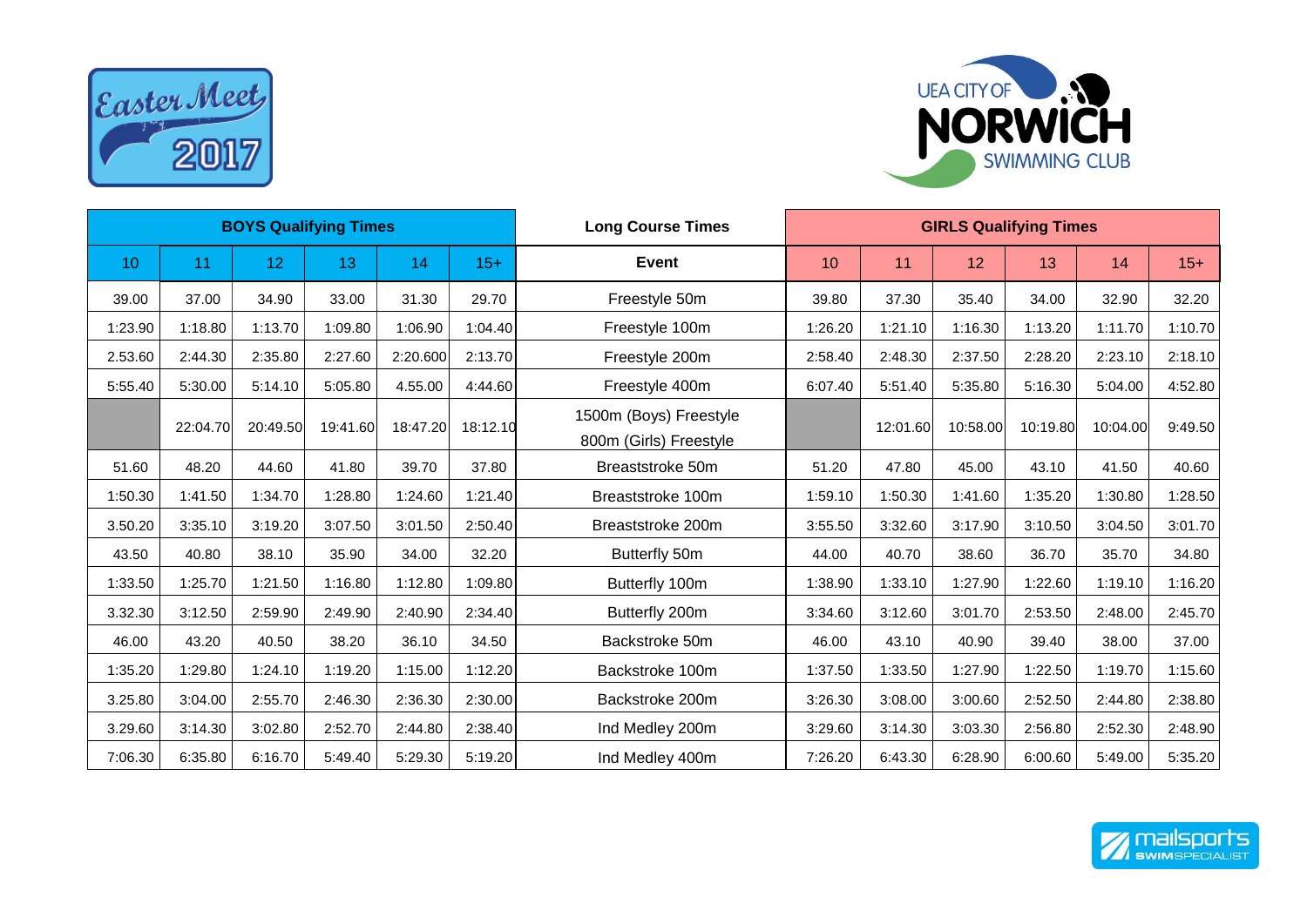



| <b>BOYS Qualifying Times</b> |          |                 | <b>Long Course Times</b> | <b>GIRLS Qualifying Times</b> |          |                                                  |         |          |          |          |          |         |
|------------------------------|----------|-----------------|--------------------------|-------------------------------|----------|--------------------------------------------------|---------|----------|----------|----------|----------|---------|
| 10                           | 11       | 12 <sub>2</sub> | 13                       | 14                            | $15+$    | <b>Event</b>                                     | 10      | 11       | 12       | 13       | 14       | $15+$   |
| 39.00                        | 37.00    | 34.90           | 33.00                    | 31.30                         | 29.70    | Freestyle 50m                                    | 39.80   | 37.30    | 35.40    | 34.00    | 32.90    | 32.20   |
| 1:23.90                      | 1:18.80  | 1:13.70         | 1:09.80                  | 1:06.90                       | 1:04.40  | Freestyle 100m                                   | 1:26.20 | 1:21.10  | 1:16.30  | 1:13.20  | 1:11.70  | 1:10.70 |
| 2.53.60                      | 2:44.30  | 2:35.80         | 2:27.60                  | 2:20.600                      | 2:13.70  | Freestyle 200m                                   | 2:58.40 | 2:48.30  | 2:37.50  | 2:28.20  | 2:23.10  | 2:18.10 |
| 5:55.40                      | 5:30.00  | 5:14.10         | 5:05.80                  | 4.55.00                       | 4:44.60  | Freestyle 400m                                   | 6:07.40 | 5:51.40  | 5:35.80  | 5:16.30  | 5:04.00  | 4:52.80 |
|                              | 22:04.70 | 20:49.50        | 19:41.60                 | 18:47.20                      | 18:12.10 | 1500m (Boys) Freestyle<br>800m (Girls) Freestyle |         | 12:01.60 | 10:58.00 | 10:19.80 | 10:04.00 | 9:49.50 |
| 51.60                        | 48.20    | 44.60           | 41.80                    | 39.70                         | 37.80    | Breaststroke 50m                                 | 51.20   | 47.80    | 45.00    | 43.10    | 41.50    | 40.60   |
| 1:50.30                      | 1:41.50  | 1:34.70         | 1:28.80                  | 1:24.60                       | 1:21.40  | Breaststroke 100m                                | 1:59.10 | 1:50.30  | 1:41.60  | 1:35.20  | 1:30.80  | 1:28.50 |
| 3.50.20                      | 3:35.10  | 3:19.20         | 3:07.50                  | 3:01.50                       | 2:50.40  | Breaststroke 200m                                | 3:55.50 | 3:32.60  | 3:17.90  | 3:10.50  | 3:04.50  | 3:01.70 |
| 43.50                        | 40.80    | 38.10           | 35.90                    | 34.00                         | 32.20    | Butterfly 50m                                    | 44.00   | 40.70    | 38.60    | 36.70    | 35.70    | 34.80   |
| 1:33.50                      | 1:25.70  | 1:21.50         | 1:16.80                  | 1:12.80                       | 1:09.80  | Butterfly 100m                                   | 1:38.90 | 1:33.10  | 1:27.90  | 1:22.60  | 1:19.10  | 1:16.20 |
| 3.32.30                      | 3:12.50  | 2:59.90         | 2:49.90                  | 2:40.90                       | 2:34.40  | Butterfly 200m                                   | 3:34.60 | 3:12.60  | 3:01.70  | 2:53.50  | 2:48.00  | 2:45.70 |
| 46.00                        | 43.20    | 40.50           | 38.20                    | 36.10                         | 34.50    | Backstroke 50m                                   | 46.00   | 43.10    | 40.90    | 39.40    | 38.00    | 37.00   |
| 1:35.20                      | 1:29.80  | 1:24.10         | 1:19.20                  | 1:15.00                       | 1:12.20  | Backstroke 100m                                  | 1:37.50 | 1:33.50  | 1:27.90  | 1:22.50  | 1:19.70  | 1:15.60 |
| 3.25.80                      | 3:04.00  | 2:55.70         | 2:46.30                  | 2:36.30                       | 2:30.00  | Backstroke 200m                                  | 3:26.30 | 3:08.00  | 3:00.60  | 2:52.50  | 2:44.80  | 2:38.80 |
| 3.29.60                      | 3:14.30  | 3:02.80         | 2:52.70                  | 2:44.80                       | 2:38.40  | Ind Medley 200m                                  | 3:29.60 | 3:14.30  | 3:03.30  | 2:56.80  | 2:52.30  | 2:48.90 |
| 7:06.30                      | 6:35.80  | 6:16.70         | 5:49.40                  | 5:29.30                       | 5:19.20  | Ind Medley 400m                                  | 7:26.20 | 6:43.30  | 6:28.90  | 6:00.60  | 5:49.00  | 5:35.20 |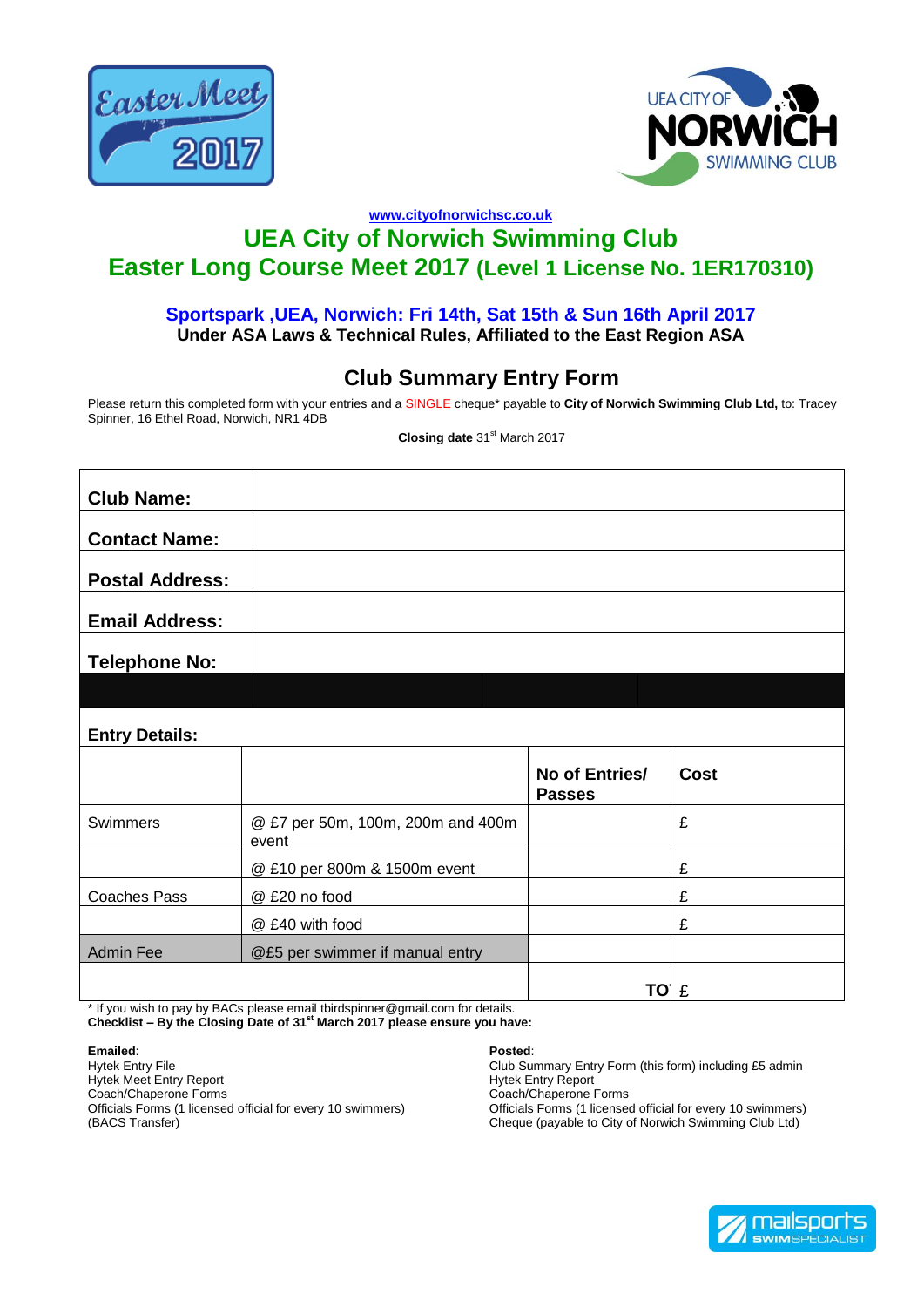



**[www.cityofnorwichsc.co.uk](http://www.cityofnorwichsc.co.uk/)**

# **UEA City of Norwich Swimming Club Easter Long Course Meet 2017 (Level 1 License No. 1ER170310)**

#### **Sportspark ,UEA, Norwich: Fri 14th, Sat 15th & Sun 16th April 2017 Under ASA Laws & Technical Rules, Affiliated to the East Region ASA**

## **Club Summary Entry Form**

Please return this completed form with your entries and a SINGLE cheque\* payable to **City of Norwich Swimming Club Ltd,** to: Tracey Spinner, 16 Ethel Road, Norwich, NR1 4DB

**Closing date** 31st March 2017

| <b>Club Name:</b>      |                                            |                                 |             |
|------------------------|--------------------------------------------|---------------------------------|-------------|
| <b>Contact Name:</b>   |                                            |                                 |             |
| <b>Postal Address:</b> |                                            |                                 |             |
| <b>Email Address:</b>  |                                            |                                 |             |
| <b>Telephone No:</b>   |                                            |                                 |             |
|                        |                                            |                                 |             |
| <b>Entry Details:</b>  |                                            |                                 |             |
|                        |                                            | No of Entries/<br><b>Passes</b> | <b>Cost</b> |
| Swimmers               | @ £7 per 50m, 100m, 200m and 400m<br>event |                                 | £           |
|                        | @ £10 per 800m & 1500m event               |                                 | £           |
| <b>Coaches Pass</b>    | @ £20 no food                              |                                 | £           |
|                        | @ £40 with food                            |                                 | £           |
| <b>Admin Fee</b>       | @£5 per swimmer if manual entry            |                                 |             |
|                        |                                            | TO £                            |             |

If you wish to pay by BACs please email tbirdspinner@gmail.com for details. **Checklist – By the Closing Date of 31st March 2017 please ensure you have:**

**Emailed**:

Hytek Entry File Hytek Meet Entry Report Coach/Chaperone Forms Officials Forms (1 licensed official for every 10 swimmers) (BACS Transfer)

#### **Posted**:

Club Summary Entry Form (this form) including £5 admin Hytek Entry Report Coach/Chaperone Forms Officials Forms (1 licensed official for every 10 swimmers) Cheque (payable to City of Norwich Swimming Club Ltd)

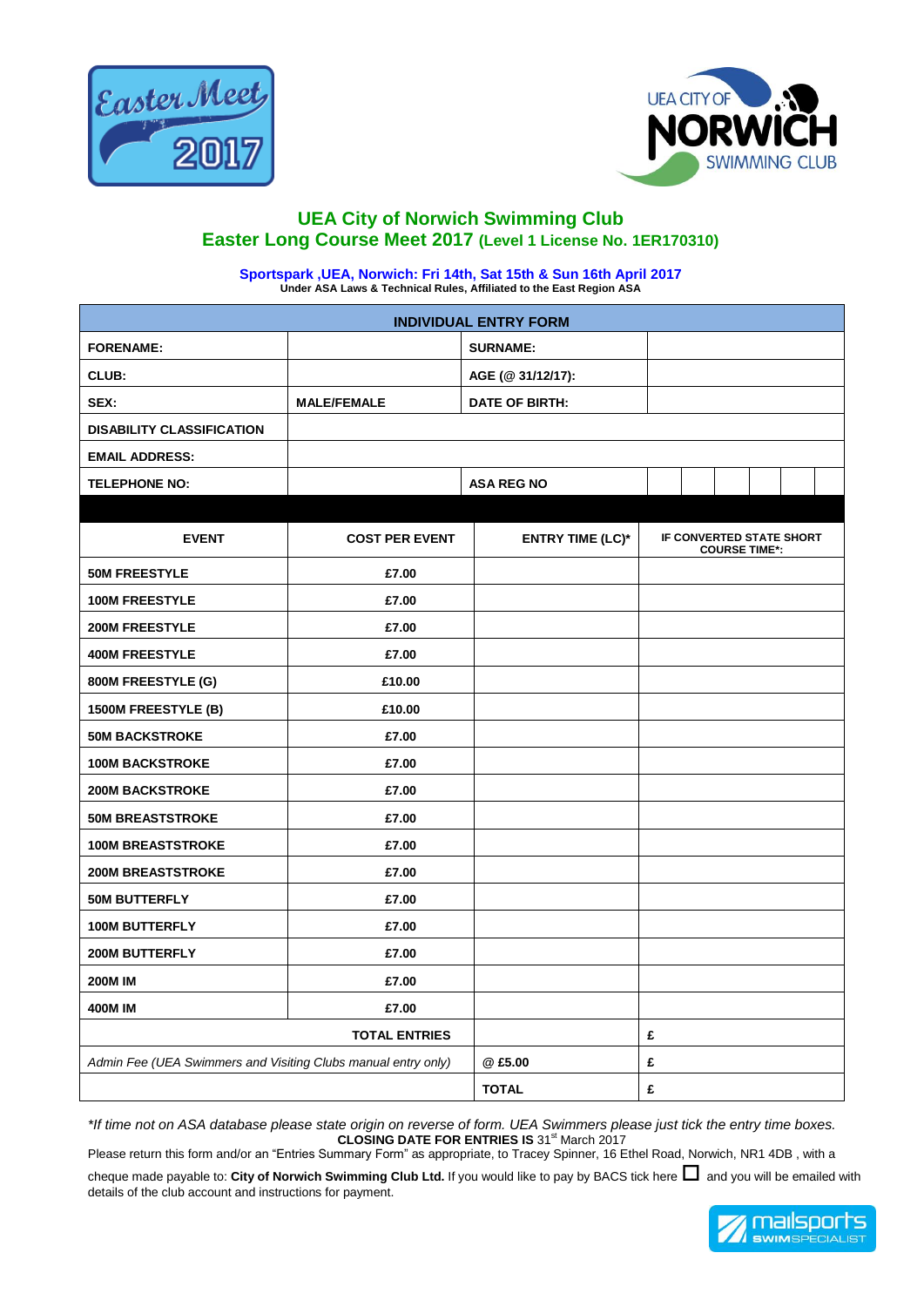



### **UEA City of Norwich Swimming Club Easter Long Course Meet 2017 (Level 1 License No. 1ER170310)**

**Sportspark ,UEA, Norwich: Fri 14th, Sat 15th & Sun 16th April 2017 Under ASA Laws & Technical Rules, Affiliated to the East Region ASA**

| <b>INDIVIDUAL ENTRY FORM</b>                                  |                       |                         |                                                  |  |  |  |
|---------------------------------------------------------------|-----------------------|-------------------------|--------------------------------------------------|--|--|--|
| <b>FORENAME:</b>                                              |                       | <b>SURNAME:</b>         |                                                  |  |  |  |
| CLUB:                                                         |                       | AGE (@ 31/12/17):       |                                                  |  |  |  |
| SEX:                                                          | <b>MALE/FEMALE</b>    | <b>DATE OF BIRTH:</b>   |                                                  |  |  |  |
| <b>DISABILITY CLASSIFICATION</b>                              |                       |                         |                                                  |  |  |  |
| <b>EMAIL ADDRESS:</b>                                         |                       |                         |                                                  |  |  |  |
| <b>TELEPHONE NO:</b>                                          |                       | <b>ASA REG NO</b>       |                                                  |  |  |  |
|                                                               |                       |                         |                                                  |  |  |  |
| <b>EVENT</b>                                                  | <b>COST PER EVENT</b> | <b>ENTRY TIME (LC)*</b> | IF CONVERTED STATE SHORT<br><b>COURSE TIME*:</b> |  |  |  |
| <b>50M FREESTYLE</b>                                          | £7.00                 |                         |                                                  |  |  |  |
| <b>100M FREESTYLE</b>                                         | £7.00                 |                         |                                                  |  |  |  |
| <b>200M FREESTYLE</b>                                         | £7.00                 |                         |                                                  |  |  |  |
| <b>400M FREESTYLE</b>                                         | £7.00                 |                         |                                                  |  |  |  |
| 800M FREESTYLE (G)                                            | £10.00                |                         |                                                  |  |  |  |
| <b>1500M FREESTYLE (B)</b>                                    | £10.00                |                         |                                                  |  |  |  |
| <b>50M BACKSTROKE</b>                                         | £7.00                 |                         |                                                  |  |  |  |
| <b>100M BACKSTROKE</b>                                        | £7.00                 |                         |                                                  |  |  |  |
| <b>200M BACKSTROKE</b>                                        | £7.00                 |                         |                                                  |  |  |  |
| <b>50M BREASTSTROKE</b>                                       | £7.00                 |                         |                                                  |  |  |  |
| <b>100M BREASTSTROKE</b>                                      | £7.00                 |                         |                                                  |  |  |  |
| <b>200M BREASTSTROKE</b>                                      | £7.00                 |                         |                                                  |  |  |  |
| <b>50M BUTTERFLY</b>                                          | £7.00                 |                         |                                                  |  |  |  |
| <b>100M BUTTERFLY</b>                                         | £7.00                 |                         |                                                  |  |  |  |
| <b>200M BUTTERFLY</b>                                         | £7.00                 |                         |                                                  |  |  |  |
| <b>200M IM</b>                                                | £7.00                 |                         |                                                  |  |  |  |
| 400M IM                                                       | £7.00                 |                         |                                                  |  |  |  |
|                                                               | <b>TOTAL ENTRIES</b>  |                         | £                                                |  |  |  |
| Admin Fee (UEA Swimmers and Visiting Clubs manual entry only) |                       | @£5.00                  | £                                                |  |  |  |
|                                                               |                       | <b>TOTAL</b>            | £                                                |  |  |  |

*\*If time not on ASA database please state origin on reverse of form. UEA Swimmers please just tick the entry time boxes.* **CLOSING DATE FOR ENTRIES IS** 31st March 2017

Please return this form and/or an "Entries Summary Form" as appropriate, to Tracey Spinner, 16 Ethel Road, Norwich, NR1 4DB , with a cheque made payable to: City of Norwich Swimming Club Ltd. If you would like to pay by BACS tick here  $\Box$  and you will be emailed with details of the club account and instructions for payment.

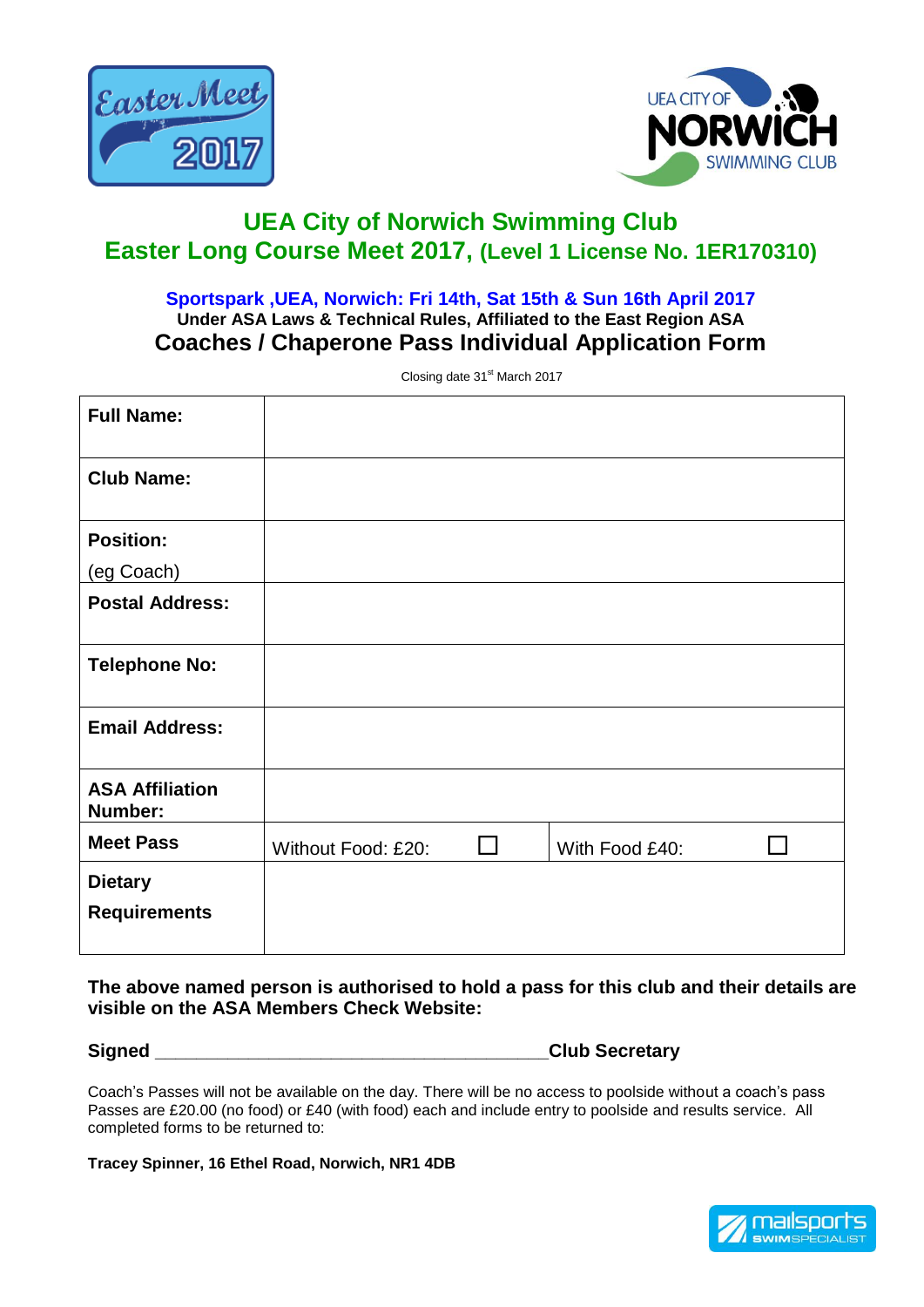



# **UEA City of Norwich Swimming Club Easter Long Course Meet 2017, (Level 1 License No. 1ER170310)**

### **Sportspark ,UEA, Norwich: Fri 14th, Sat 15th & Sun 16th April 2017 Under ASA Laws & Technical Rules, Affiliated to the East Region ASA Coaches / Chaperone Pass Individual Application Form**

Closing date 31<sup>st</sup> March 2017

| <b>Full Name:</b>                 |                    |                |  |
|-----------------------------------|--------------------|----------------|--|
| <b>Club Name:</b>                 |                    |                |  |
| <b>Position:</b>                  |                    |                |  |
| (eg Coach)                        |                    |                |  |
| <b>Postal Address:</b>            |                    |                |  |
| <b>Telephone No:</b>              |                    |                |  |
| <b>Email Address:</b>             |                    |                |  |
| <b>ASA Affiliation</b><br>Number: |                    |                |  |
| <b>Meet Pass</b>                  | Without Food: £20: | With Food £40: |  |
| <b>Dietary</b>                    |                    |                |  |
| <b>Requirements</b>               |                    |                |  |

**The above named person is authorised to hold a pass for this club and their details are visible on the ASA Members Check Website:**

**Signed \_\_\_\_\_\_\_\_\_\_\_\_\_\_\_\_\_\_\_\_\_\_\_\_\_\_\_\_\_\_\_\_\_\_\_\_\_\_Club Secretary**

Coach's Passes will not be available on the day. There will be no access to poolside without a coach's pass Passes are £20.00 (no food) or £40 (with food) each and include entry to poolside and results service. All completed forms to be returned to:

**Tracey Spinner, 16 Ethel Road, Norwich, NR1 4DB**

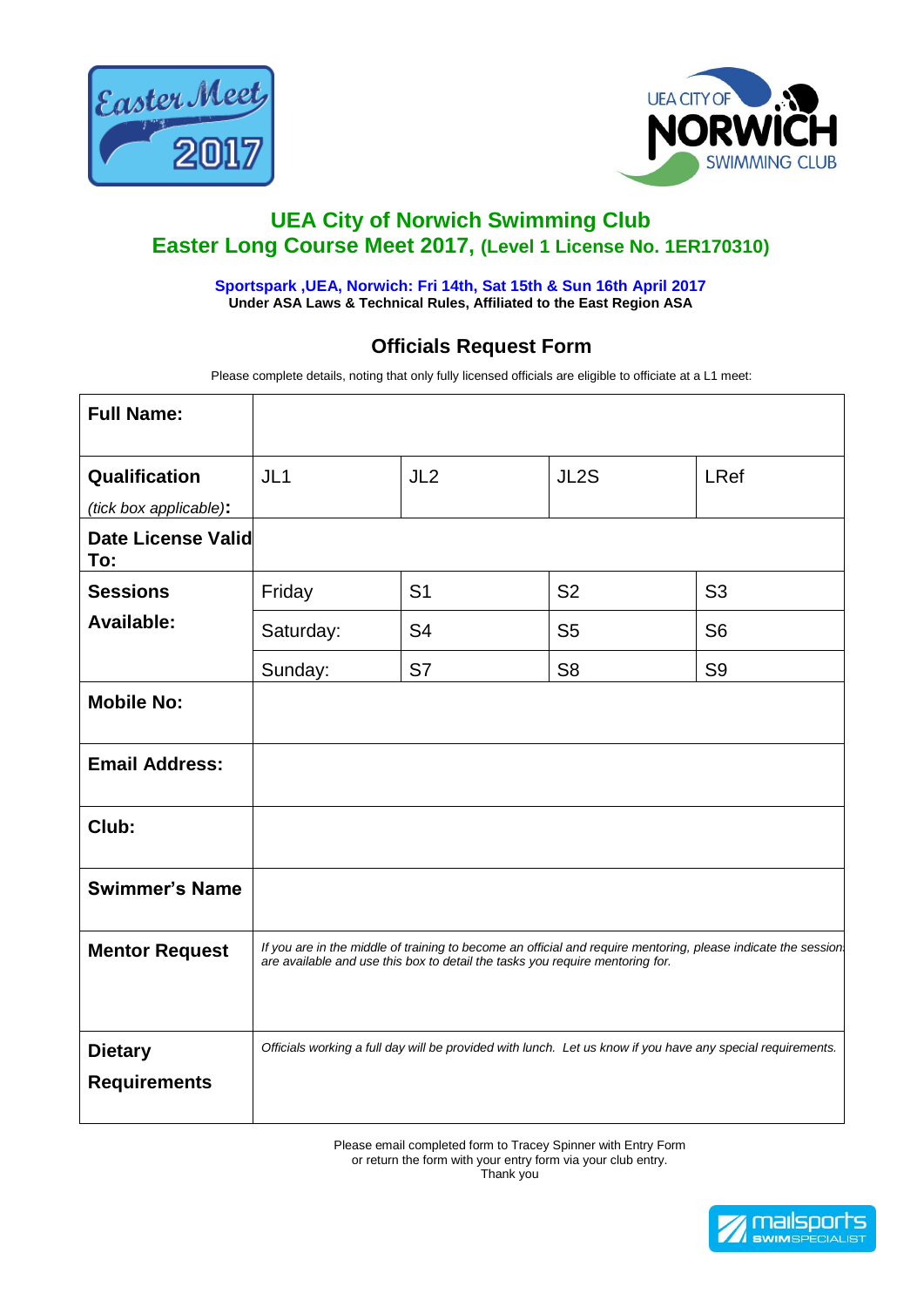



## **UEA City of Norwich Swimming Club Easter Long Course Meet 2017, (Level 1 License No. 1ER170310)**

#### **Sportspark ,UEA, Norwich: Fri 14th, Sat 15th & Sun 16th April 2017 Under ASA Laws & Technical Rules, Affiliated to the East Region ASA**

## **Officials Request Form**

Please complete details, noting that only fully licensed officials are eligible to officiate at a L1 meet:

| <b>Full Name:</b>                |           |                                                                                                                                                                                                |                   |                |
|----------------------------------|-----------|------------------------------------------------------------------------------------------------------------------------------------------------------------------------------------------------|-------------------|----------------|
| Qualification                    | JL1       | JL <sub>2</sub>                                                                                                                                                                                | JL <sub>2</sub> S | <b>LRef</b>    |
| (tick box applicable):           |           |                                                                                                                                                                                                |                   |                |
| <b>Date License Valid</b><br>To: |           |                                                                                                                                                                                                |                   |                |
| <b>Sessions</b>                  | Friday    | S <sub>1</sub>                                                                                                                                                                                 | S <sub>2</sub>    | S <sub>3</sub> |
| <b>Available:</b>                | Saturday: | S <sub>4</sub>                                                                                                                                                                                 | S <sub>5</sub>    | S <sub>6</sub> |
|                                  | Sunday:   | S7                                                                                                                                                                                             | S <sub>8</sub>    | S <sub>9</sub> |
| <b>Mobile No:</b>                |           |                                                                                                                                                                                                |                   |                |
| <b>Email Address:</b>            |           |                                                                                                                                                                                                |                   |                |
| Club:                            |           |                                                                                                                                                                                                |                   |                |
| <b>Swimmer's Name</b>            |           |                                                                                                                                                                                                |                   |                |
| <b>Mentor Request</b>            |           | If you are in the middle of training to become an official and require mentoring, please indicate the session<br>are available and use this box to detail the tasks you require mentoring for. |                   |                |
| <b>Dietary</b>                   |           | Officials working a full day will be provided with lunch. Let us know if you have any special requirements.                                                                                    |                   |                |
| <b>Requirements</b>              |           |                                                                                                                                                                                                |                   |                |

Please email completed form to Tracey Spinner with Entry Form or return the form with your entry form via your club entry. Thank you